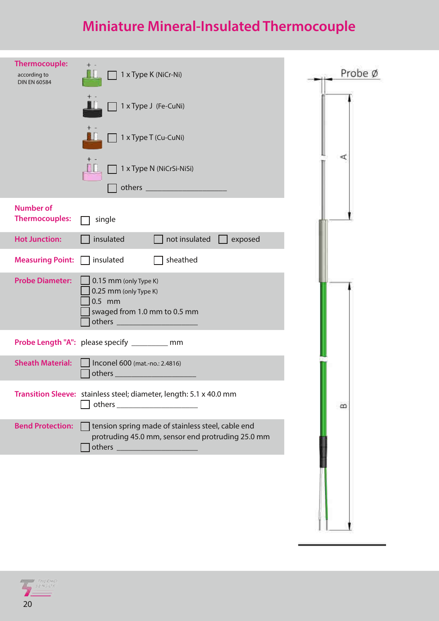## Miniature Mineral-Insulated Thermocouple

| <b>Thermocouple:</b><br>according to<br><b>DIN EN 60584</b> | 1 x Type K (NiCr-Ni)                                                                                   | Probe Ø  |
|-------------------------------------------------------------|--------------------------------------------------------------------------------------------------------|----------|
|                                                             | 1 x Type J (Fe-CuNi)                                                                                   |          |
|                                                             | 1 x Type T (Cu-CuNi)                                                                                   |          |
|                                                             | 1 x Type N (NiCrSi-NiSi)                                                                               | ⋖        |
|                                                             |                                                                                                        |          |
| <b>Number of</b><br><b>Thermocouples:</b>                   | single                                                                                                 |          |
| <b>Hot Junction:</b>                                        | insulated<br>not insulated<br>exposed                                                                  |          |
| <b>Measuring Point:</b>                                     | sheathed<br>insulated                                                                                  |          |
| <b>Probe Diameter:</b>                                      | 0.15 mm (only Type K)<br>0.25 mm (only Type K)<br>$0.5$ mm<br>swaged from 1.0 mm to 0.5 mm             |          |
|                                                             | Probe Length "A": please specify _________ mm                                                          |          |
| <b>Sheath Material:</b>                                     | Inconel 600 (mat.-no.: 2.4816)<br>others_                                                              |          |
|                                                             | Transition Sleeve: stainless steel; diameter, length: 5.1 x 40.0 mm<br>others ________________________ | $\infty$ |
| <b>Bend Protection:</b>                                     | tension spring made of stainless steel, cable end<br>protruding 45.0 mm, sensor end protruding 25.0 mm |          |
|                                                             |                                                                                                        |          |